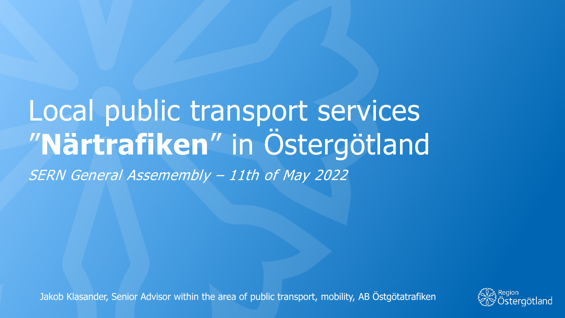# Local public transport services "**Närtrafiken**" in Östergötland SERN General Assemembly – 11th of May 2022

Jakob Klasander, Senior Advisor within the area of public transport, mobility, AB Östgötatrafiken

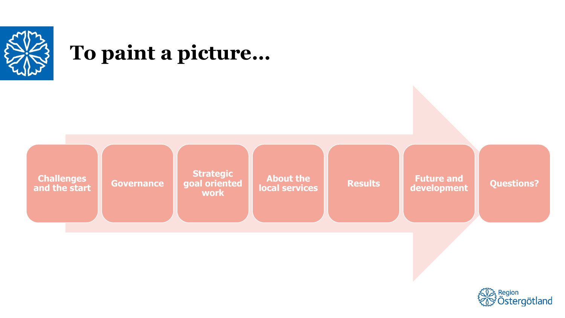

#### **To paint a picture…**



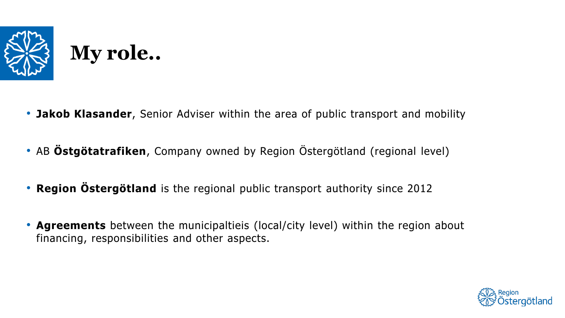

- **Jakob Klasander**, Senior Adviser within the area of public transport and mobility
- AB **Östgötatrafiken**, Company owned by Region Östergötland (regional level)
- **Region Östergötland** is the regional public transport authority since 2012
- **Agreements** between the municipaltieis (local/city level) within the region about financing, responsibilities and other aspects.

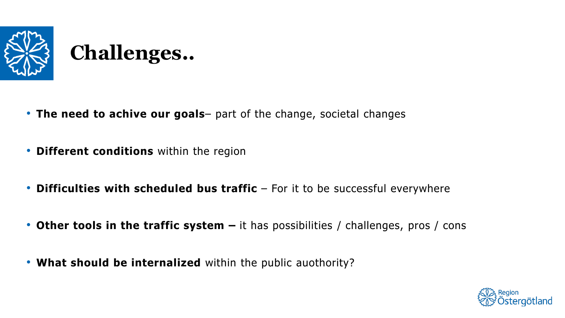

- **The need to achive our goals** part of the change, societal changes
- **Different conditions** within the region
- **Difficulties with scheduled bus traffic** For it to be successful everywhere
- **Other tools in the traffic system –** it has possibilities / challenges, pros / cons
- **What should be internalized** within the public auothority?

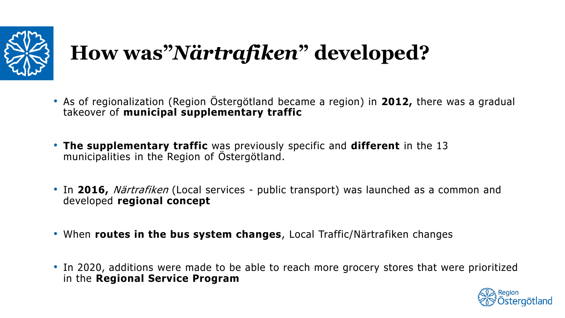

# **How was"***Närtrafiken***" developed?**

- As of regionalization (Region Östergötland became a region) in **2012,** there was a gradual takeover of **municipal supplementary traffic**
- **The supplementary traffic** was previously specific and **different** in the 13 municipalities in the Region of Östergötland.
- In **2016,** Närtrafiken (Local services public transport) was launched as a common and developed **regional concept**
- When **routes in the bus system changes**, Local Traffic/Närtrafiken changes
- In 2020, additions were made to be able to reach more grocery stores that were prioritized in the **Regional Service Program**

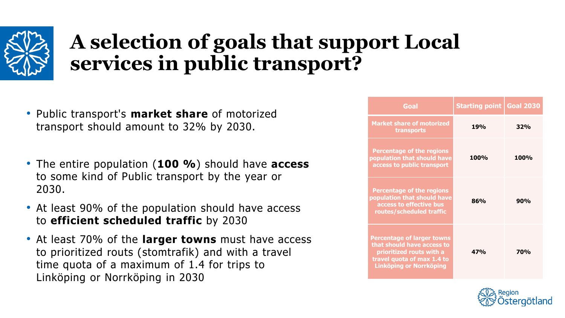

## **A selection of goals that support Local services in public transport?**

- Public transport's **market share** of motorized transport should amount to 32% by 2030.
- The entire population (**100 %**) should have **access**  to some kind of Public transport by the year or 2030.
- At least 90% of the population should have access to **efficient scheduled traffic** by 2030
- At least 70% of the **larger towns** must have access to prioritized routs (stomtrafik) and with a travel time quota of a maximum of 1.4 for trips to Linköping or Norrköping in 2030

| Goal                                                                                                                                                        | <b>Starting point   Goal 2030</b> |            |
|-------------------------------------------------------------------------------------------------------------------------------------------------------------|-----------------------------------|------------|
| <b>Market share of motorized</b><br>transports                                                                                                              | <b>19%</b>                        | 32%        |
| <b>Percentage of the regions</b><br>population that should have<br>access to public transport                                                               | <b>100%</b>                       | 100%       |
| <b>Percentage of the regions</b><br>population that should have<br>access to effective bus<br>routes/scheduled traffic                                      | 86%                               | 90%        |
| <b>Percentage of larger towns</b><br>that should have access to<br>prioritized routs with a<br>travel quota of max 1.4 to<br><b>Linköping or Norrköping</b> | 47%                               | <b>70%</b> |

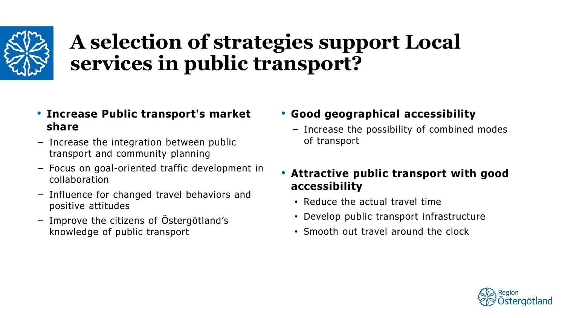

## **A selection of strategies support Local services in public transport?**

- **Increase Public transport's market share**
- Increase the integration between public transport and community planning
- Focus on goal-oriented traffic development in collaboration
- Influence for changed travel behaviors and positive attitudes
- Improve the citizens of Östergötland's knowledge of public transport
- **Good geographical accessibility**
	- Increase the possibility of combined modes of transport
- **Attractive public transport with good accessibility**
	- Reduce the actual travel time
	- Develop public transport infrastructure
	- Smooth out travel around the clock

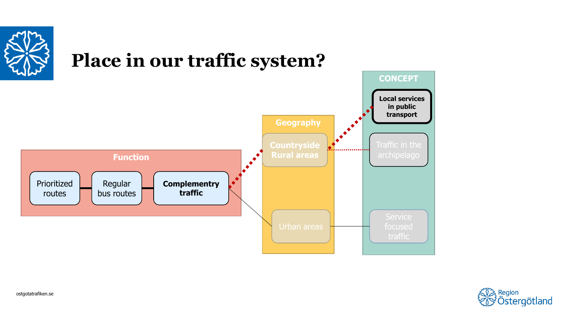

#### **Place in our traffic system?**



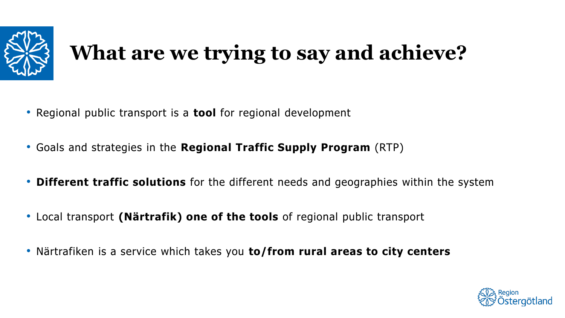

# **What are we trying to say and achieve?**

- Regional public transport is a **tool** for regional development
- Goals and strategies in the **Regional Traffic Supply Program** (RTP)
- **Different traffic solutions** for the different needs and geographies within the system
- Local transport **(Närtrafik) one of the tools** of regional public transport
- Närtrafiken is a service which takes you **to/from rural areas to city centers**

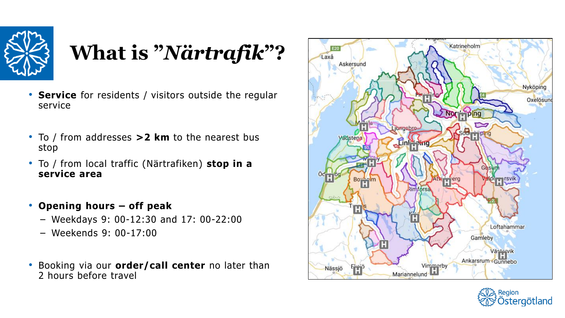

# **What is "***Närtrafik***"?**

- **Service** for residents / visitors outside the regular service
- To / from addresses **>2 km** to the nearest bus stop
- To / from local traffic (Närtrafiken) **stop in a service area**
- **Opening hours – off peak**
	- Weekdays 9: 00-12:30 and 17: 00-22:00
	- Weekends 9: 00-17:00
- Booking via our **order/call center** no later than 2 hours before travel



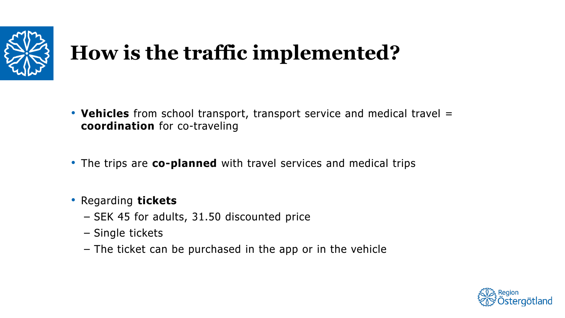

# **How is the traffic implemented?**

- **Vehicles** from school transport, transport service and medical travel = **coordination** for co-traveling
- The trips are **co-planned** with travel services and medical trips

#### • Regarding **tickets**

- SEK 45 for adults, 31.50 discounted price
- Single tickets
- The ticket can be purchased in the app or in the vehicle

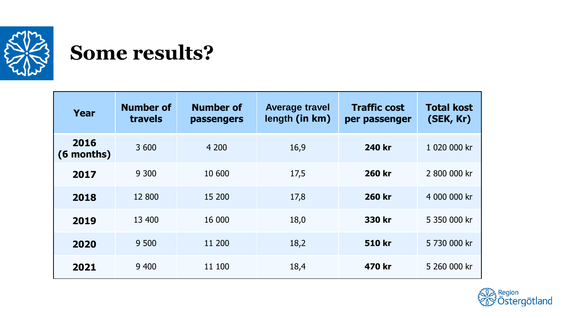

#### **Some results?**

| Year               | <b>Number of</b><br>travels | <b>Number of</b><br><b>passengers</b> | <b>Average travel</b><br>length (in km) | <b>Traffic cost</b><br>per passenger | <b>Total kost</b><br>(SEK, Kr) |
|--------------------|-----------------------------|---------------------------------------|-----------------------------------------|--------------------------------------|--------------------------------|
| 2016<br>(6 months) | 3 600                       | 4 200                                 | 16,9                                    | 240 kr                               | 1 020 000 kr                   |
| 2017               | 9 3 0 0                     | 10 600                                | 17,5                                    | <b>260 kr</b>                        | 2 800 000 kr                   |
| 2018               | 12 800                      | 15 200                                | 17,8                                    | <b>260 kr</b>                        | 4 000 000 kr                   |
| 2019               | 13 400                      | 16 000                                | 18,0                                    | 330 kr                               | 5 350 000 kr                   |
| 2020               | 9 500                       | 11 200                                | 18,2                                    | <b>510 kr</b>                        | 5 730 000 kr                   |
| 2021               | 9 400                       | 11 100                                | 18,4                                    | 470 kr                               | 5 260 000 kr                   |

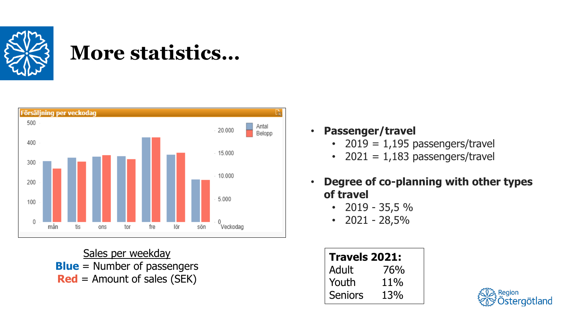

### **More statistics…**



Sales per weekday **Blue** = Number of passengers **Red** = Amount of sales (SEK)

• **Passenger/travel**

- 2019 =  $1,195$  passengers/travel
- 2021 =  $1,183$  passengers/travel
- **Degree of co-planning with other types of travel**
	- $\cdot$  2019 35,5 %
	- $\cdot$  2021 28,5%

| Travels 2021: |     |  |
|---------------|-----|--|
| Adult         | 76% |  |
| Youth         | 11% |  |
| Seniors       | 13% |  |

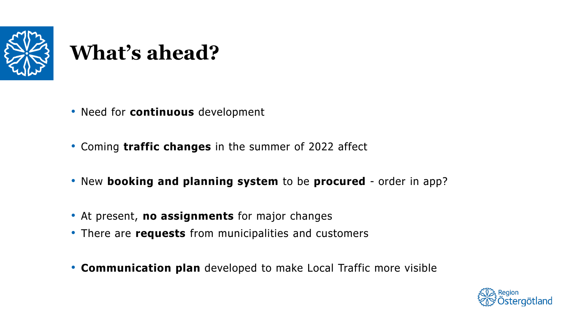

# **What's ahead?**

- Need for **continuous** development
- Coming **traffic changes** in the summer of 2022 affect
- New **booking and planning system** to be **procured** order in app?
- At present, **no assignments** for major changes
- There are **requests** from municipalities and customers
- **Communication plan** developed to make Local Traffic more visible